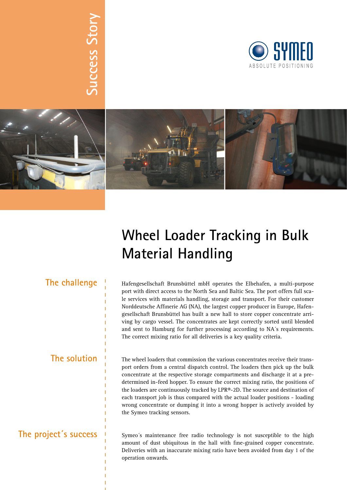# **Success Story Success Story**





## **Wheel Loader Tracking in Bulk Material Handling**

**The solution**

**The challenge** <sup>I</sup> Hafengesellschaft Brunsbüttel mbH operates the Elbehafen, a multi-purpose port with direct access to the North Sea and Baltic Sea. The port offers full scale services with materials handling, storage and transport. For their customer Norddeutsche Affinerie AG (NA), the largest copper producer in Europe, Hafengesellschaft Brunsbüttel has built a new hall to store copper concentrate arriving by cargo vessel. The concentrates are kept correctly sorted until blended and sent to Hamburg for further processing according to NA´s requirements. The correct mixing ratio for all deliveries is a key quality criteria.

> The wheel loaders that commission the various concentrates receive their transport orders from a central dispatch control. The loaders then pick up the bulk concentrate at the respective storage compartments and discharge it at a predetermined in-feed hopper. To ensure the correct mixing ratio, the positions of the loaders are continuously tracked by LPR®-2D. The source and destination of each transport job is thus compared with the actual loader positions - loading wrong concentrate or dumping it into a wrong hopper is actively avoided by the Symeo tracking sensors.

#### **The project´s success**

Symeo´s maintenance free radio technology is not susceptible to the high amount of dust ubiquitous in the hall with fine-grained copper concentrate. Deliveries with an inaccurate mixing ratio have been avoided from day 1 of the operation onwards.